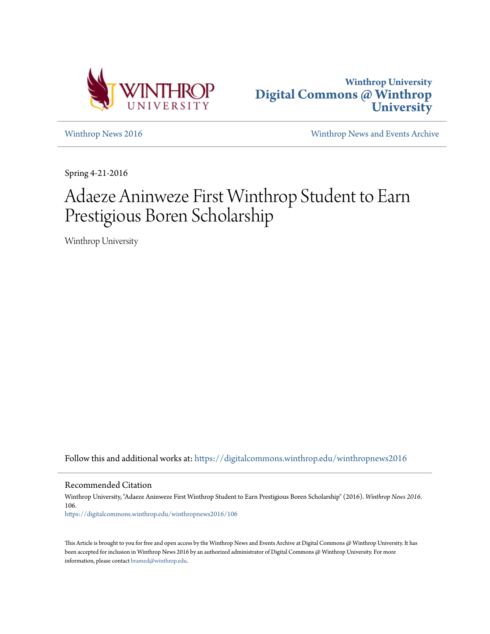



[Winthrop News 2016](https://digitalcommons.winthrop.edu/winthropnews2016?utm_source=digitalcommons.winthrop.edu%2Fwinthropnews2016%2F106&utm_medium=PDF&utm_campaign=PDFCoverPages) [Winthrop News and Events Archive](https://digitalcommons.winthrop.edu/winthropnewsarchives?utm_source=digitalcommons.winthrop.edu%2Fwinthropnews2016%2F106&utm_medium=PDF&utm_campaign=PDFCoverPages)

Spring 4-21-2016

# Adaeze Aninweze First Winthrop Student to Earn Prestigious Boren Scholarship

Winthrop University

Follow this and additional works at: [https://digitalcommons.winthrop.edu/winthropnews2016](https://digitalcommons.winthrop.edu/winthropnews2016?utm_source=digitalcommons.winthrop.edu%2Fwinthropnews2016%2F106&utm_medium=PDF&utm_campaign=PDFCoverPages)

Recommended Citation

Winthrop University, "Adaeze Aninweze First Winthrop Student to Earn Prestigious Boren Scholarship" (2016). *Winthrop News 2016*. 106. [https://digitalcommons.winthrop.edu/winthropnews2016/106](https://digitalcommons.winthrop.edu/winthropnews2016/106?utm_source=digitalcommons.winthrop.edu%2Fwinthropnews2016%2F106&utm_medium=PDF&utm_campaign=PDFCoverPages)

This Article is brought to you for free and open access by the Winthrop News and Events Archive at Digital Commons @ Winthrop University. It has been accepted for inclusion in Winthrop News 2016 by an authorized administrator of Digital Commons @ Winthrop University. For more information, please contact [bramed@winthrop.edu](mailto:bramed@winthrop.edu).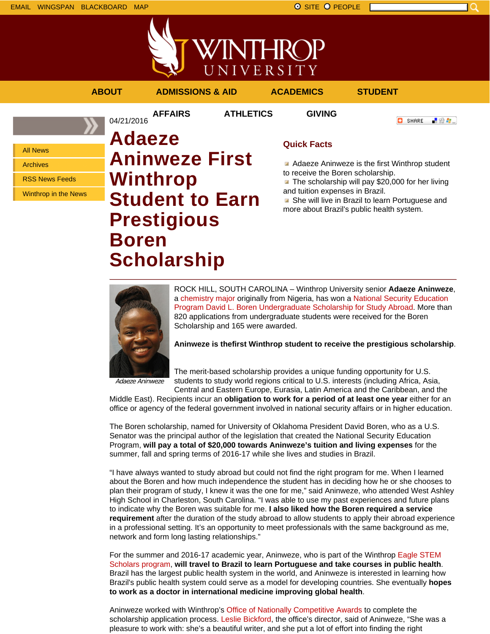



**AFFAIRS ATHLETICS GIVING**

04/21/2016

**ABOUT ADMISSIONS & AID ACADEMICS STUDENT**

**C** SHARE

■ 验考...

All News

Archives

RSS News Feeds

Winthrop in the News

## **Adaeze Aninweze First Winthrop Student to Earn Prestigious Boren Scholarship**

### **Quick Facts**

Adaeze Aninweze is the first Winthrop student to receive the Boren scholarship.

**The scholarship will pay \$20,000 for her living** and tuition expenses in Brazil.

**B** She will live in Brazil to learn Portuguese and more about Brazil's public health system.



ROCK HILL, SOUTH CAROLINA – Winthrop University senior **Adaeze Aninweze**, a chemistry major originally from Nigeria, has won a National Security Education Program David L. Boren Undergraduate Scholarship for Study Abroad. More than 820 applications from undergraduate students were received for the Boren Scholarship and 165 were awarded.

**Aninweze is thefirst Winthrop student to receive the prestigious scholarship**.

Adaeze Aninweze

The merit-based scholarship provides a unique funding opportunity for U.S. students to study world regions critical to U.S. interests (including Africa, Asia,

Central and Eastern Europe, Eurasia, Latin America and the Caribbean, and the Middle East). Recipients incur an **obligation to work for a period of at least one year** either for an office or agency of the federal government involved in national security affairs or in higher education.

The Boren scholarship, named for University of Oklahoma President David Boren, who as a U.S. Senator was the principal author of the legislation that created the National Security Education Program, **will pay a total of \$20,000 towards Aninweze's tuition and living expenses** for the summer, fall and spring terms of 2016-17 while she lives and studies in Brazil.

"I have always wanted to study abroad but could not find the right program for me. When I learned about the Boren and how much independence the student has in deciding how he or she chooses to plan their program of study, I knew it was the one for me," said Aninweze, who attended West Ashley High School in Charleston, South Carolina. "I was able to use my past experiences and future plans to indicate why the Boren was suitable for me. **I also liked how the Boren required a service requirement** after the duration of the study abroad to allow students to apply their abroad experience in a professional setting. It's an opportunity to meet professionals with the same background as me, network and form long lasting relationships."

For the summer and 2016-17 academic year, Aninweze, who is part of the Winthrop Eagle STEM Scholars program, **will travel to Brazil to learn Portuguese and take courses in public health**. Brazil has the largest public health system in the world, and Aninweze is interested in learning how Brazil's public health system could serve as a model for developing countries. She eventually **hopes to work as a doctor in international medicine improving global health**.

Aninweze worked with Winthrop's Office of Nationally Competitive Awards to complete the scholarship application process. Leslie Bickford, the office's director, said of Aninweze, "She was a pleasure to work with: she's a beautiful writer, and she put a lot of effort into finding the right